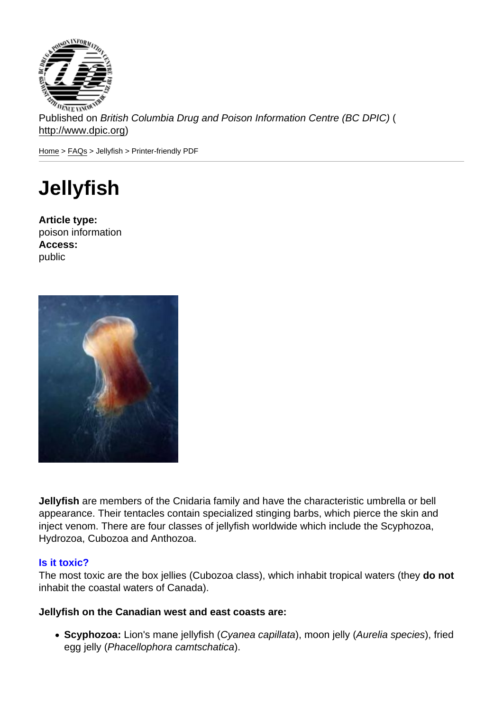Published on British Columbia Drug and Poison Information Centre (BC DPIC) ( http://www.dpic.org)

Home > FAQs > Jellyfish > Printer-friendly PDF

# **[Je](http://www.dpic.org/)l[lyfi](http://www.dpic.org/faq)sh**

Article type: poison information Access: public

Jellyfish are members of the Cnidaria family and have the characteristic umbrella or bell appearance. Their tentacles contain specialized stinging barbs, which pierce the skin and inject venom. There are four classes of jellyfish worldwide which include the Scyphozoa, Hydrozoa, Cubozoa and Anthozoa.

#### Is it toxic?

The most toxic are the box jellies (Cubozoa class), which inhabit tropical waters (they do not inhabit the coastal waters of Canada).

Jellyfish on the Canadian west and east coasts are:

• Scyphozoa: Lion's mane jellyfish (Cyanea capillata), moon jelly (Aurelia species), fried egg jelly (Phacellophora camtschatica).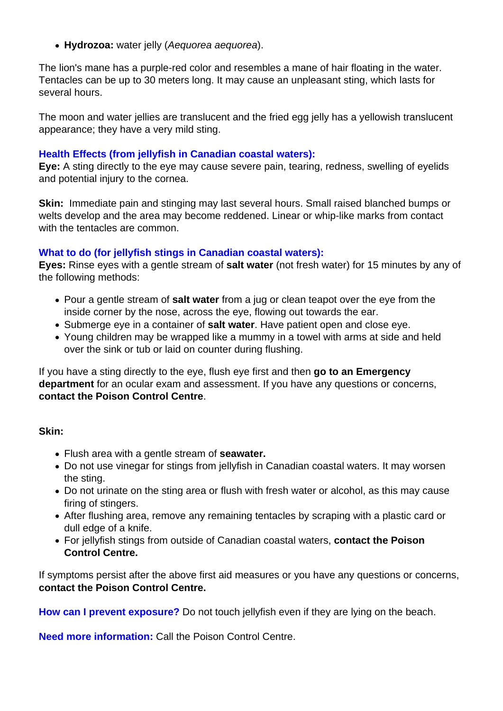**Hydrozoa:** water jelly (Aequorea aequorea).

The lion's mane has a purple-red color and resembles a mane of hair floating in the water. Tentacles can be up to 30 meters long. It may cause an unpleasant sting, which lasts for several hours.

The moon and water jellies are translucent and the fried egg jelly has a yellowish translucent appearance; they have a very mild sting.

## **Health Effects (from jellyfish in Canadian coastal waters):**

**Eye:** A sting directly to the eye may cause severe pain, tearing, redness, swelling of eyelids and potential injury to the cornea.

**Skin:** Immediate pain and stinging may last several hours. Small raised blanched bumps or welts develop and the area may become reddened. Linear or whip-like marks from contact with the tentacles are common

#### **What to do (for jellyfish stings in Canadian coastal waters):**

**Eyes:** Rinse eyes with a gentle stream of **salt water** (not fresh water) for 15 minutes by any of the following methods:

- Pour a gentle stream of **salt water** from a jug or clean teapot over the eye from the inside corner by the nose, across the eye, flowing out towards the ear.
- Submerge eye in a container of **salt water**. Have patient open and close eye.
- Young children may be wrapped like a mummy in a towel with arms at side and held over the sink or tub or laid on counter during flushing.

If you have a sting directly to the eye, flush eye first and then **go to an Emergency department** for an ocular exam and assessment. If you have any questions or concerns, **contact the Poison Control Centre**.

## **Skin:**

- Flush area with a gentle stream of **seawater.**
- Do not use vinegar for stings from jellyfish in Canadian coastal waters. It may worsen the sting.
- Do not urinate on the sting area or flush with fresh water or alcohol, as this may cause firing of stingers.
- After flushing area, remove any remaining tentacles by scraping with a plastic card or dull edge of a knife.
- For jellyfish stings from outside of Canadian coastal waters, **contact the Poison Control Centre.**

If symptoms persist after the above first aid measures or you have any questions or concerns, **contact the Poison Control Centre.**

**How can I prevent exposure?** Do not touch jellyfish even if they are lying on the beach.

**Need more information:** Call the Poison Control Centre.